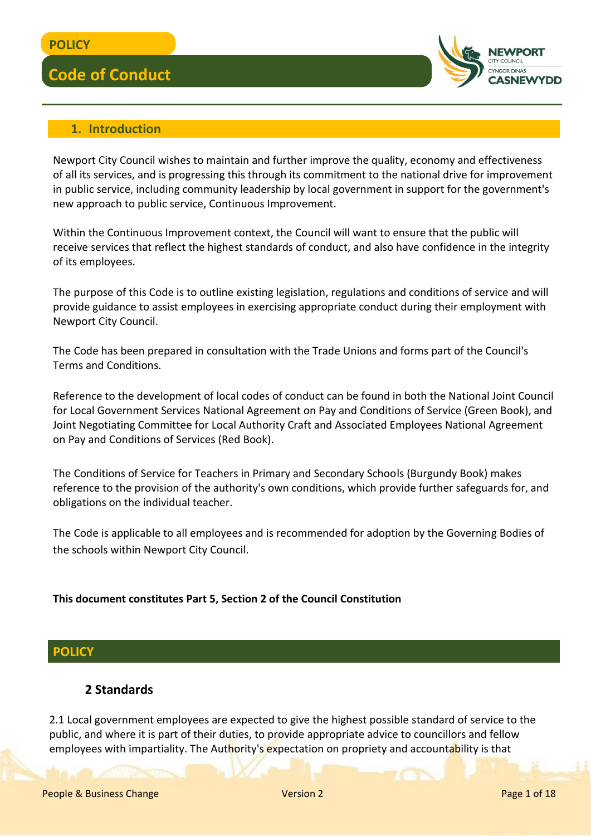

#### **1. Introduction**

Newport City Council wishes to maintain and further improve the quality, economy and effectiveness of all its services, and is progressing this through its commitment to the national drive for improvement in public service, including community leadership by local government in support for the government's new approach to public service, Continuous Improvement.

Within the Continuous Improvement context, the Council will want to ensure that the public will receive services that reflect the highest standards of conduct, and also have confidence in the integrity of its employees.

The purpose of this Code is to outline existing legislation, regulations and conditions of service and will provide guidance to assist employees in exercising appropriate conduct during their employment with Newport City Council.

The Code has been prepared in consultation with the Trade Unions and forms part of the Council's Terms and Conditions.

Reference to the development of local codes of conduct can be found in both the National Joint Council for Local Government Services National Agreement on Pay and Conditions of Service (Green Book), and Joint Negotiating Committee for Local Authority Craft and Associated Employees National Agreement on Pay and Conditions of Services (Red Book).

The Conditions of Service for Teachers in Primary and Secondary Schools (Burgundy Book) makes reference to the provision of the authority's own conditions, which provide further safeguards for, and obligations on the individual teacher.

The Code is applicable to all employees and is recommended for adoption by the Governing Bodies of the schools within Newport City Council.

#### **This document constitutes Part 5, Section 2 of the Council Constitution**

#### **POLICY**

#### **2 Standards**

2.1 Local government employees are expected to give the highest possible standard of service to the public, and where it is part of their duties, to provide appropriate advice to councillors and fellow employees with impartiality. The Authority's expectation on propriety and accountability is that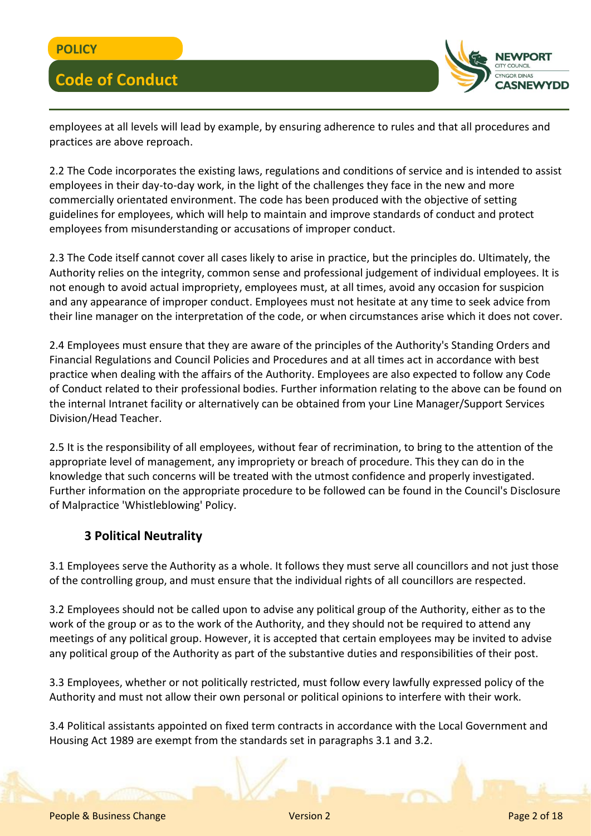

employees at all levels will lead by example, by ensuring adherence to rules and that all procedures and practices are above reproach.

2.2 The Code incorporates the existing laws, regulations and conditions of service and is intended to assist employees in their day-to-day work, in the light of the challenges they face in the new and more commercially orientated environment. The code has been produced with the objective of setting guidelines for employees, which will help to maintain and improve standards of conduct and protect employees from misunderstanding or accusations of improper conduct.

2.3 The Code itself cannot cover all cases likely to arise in practice, but the principles do. Ultimately, the Authority relies on the integrity, common sense and professional judgement of individual employees. It is not enough to avoid actual impropriety, employees must, at all times, avoid any occasion for suspicion and any appearance of improper conduct. Employees must not hesitate at any time to seek advice from their line manager on the interpretation of the code, or when circumstances arise which it does not cover.

2.4 Employees must ensure that they are aware of the principles of the Authority's Standing Orders and Financial Regulations and Council Policies and Procedures and at all times act in accordance with best practice when dealing with the affairs of the Authority. Employees are also expected to follow any Code of Conduct related to their professional bodies. Further information relating to the above can be found on the internal Intranet facility or alternatively can be obtained from your Line Manager/Support Services Division/Head Teacher.

2.5 It is the responsibility of all employees, without fear of recrimination, to bring to the attention of the appropriate level of management, any impropriety or breach of procedure. This they can do in the knowledge that such concerns will be treated with the utmost confidence and properly investigated. Further information on the appropriate procedure to be followed can be found in the Council's Disclosure of Malpractice 'Whistleblowing' Policy.

### **3 Political Neutrality**

3.1 Employees serve the Authority as a whole. It follows they must serve all councillors and not just those of the controlling group, and must ensure that the individual rights of all councillors are respected.

3.2 Employees should not be called upon to advise any political group of the Authority, either as to the work of the group or as to the work of the Authority, and they should not be required to attend any meetings of any political group. However, it is accepted that certain employees may be invited to advise any political group of the Authority as part of the substantive duties and responsibilities of their post.

3.3 Employees, whether or not politically restricted, must follow every lawfully expressed policy of the Authority and must not allow their own personal or political opinions to interfere with their work.

3.4 Political assistants appointed on fixed term contracts in accordance with the Local Government and Housing Act 1989 are exempt from the standards set in paragraphs 3.1 and 3.2.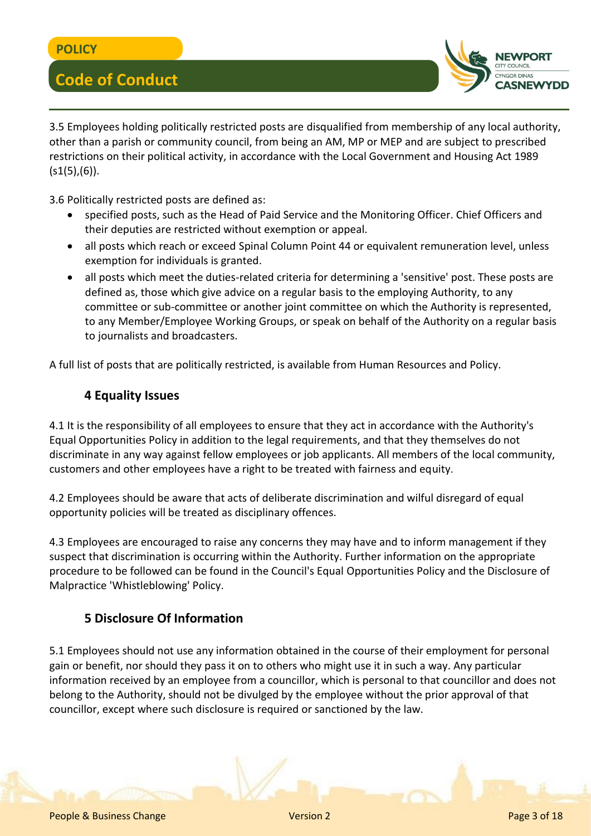

3.5 Employees holding politically restricted posts are disqualified from membership of any local authority, other than a parish or community council, from being an AM, MP or MEP and are subject to prescribed restrictions on their political activity, in accordance with the Local Government and Housing Act 1989  $(51(5),(6))$ .

3.6 Politically restricted posts are defined as:

- specified posts, such as the Head of Paid Service and the Monitoring Officer. Chief Officers and their deputies are restricted without exemption or appeal.
- all posts which reach or exceed Spinal Column Point 44 or equivalent remuneration level, unless exemption for individuals is granted.
- all posts which meet the duties-related criteria for determining a 'sensitive' post. These posts are defined as, those which give advice on a regular basis to the employing Authority, to any committee or sub-committee or another joint committee on which the Authority is represented, to any Member/Employee Working Groups, or speak on behalf of the Authority on a regular basis to journalists and broadcasters.

A full list of posts that are politically restricted, is available from Human Resources and Policy.

#### **4 Equality Issues**

4.1 It is the responsibility of all employees to ensure that they act in accordance with the Authority's Equal Opportunities Policy in addition to the legal requirements, and that they themselves do not discriminate in any way against fellow employees or job applicants. All members of the local community, customers and other employees have a right to be treated with fairness and equity.

4.2 Employees should be aware that acts of deliberate discrimination and wilful disregard of equal opportunity policies will be treated as disciplinary offences.

4.3 Employees are encouraged to raise any concerns they may have and to inform management if they suspect that discrimination is occurring within the Authority. Further information on the appropriate procedure to be followed can be found in the Council's Equal Opportunities Policy and the Disclosure of Malpractice 'Whistleblowing' Policy.

#### **5 Disclosure Of Information**

5.1 Employees should not use any information obtained in the course of their employment for personal gain or benefit, nor should they pass it on to others who might use it in such a way. Any particular information received by an employee from a councillor, which is personal to that councillor and does not belong to the Authority, should not be divulged by the employee without the prior approval of that councillor, except where such disclosure is required or sanctioned by the law.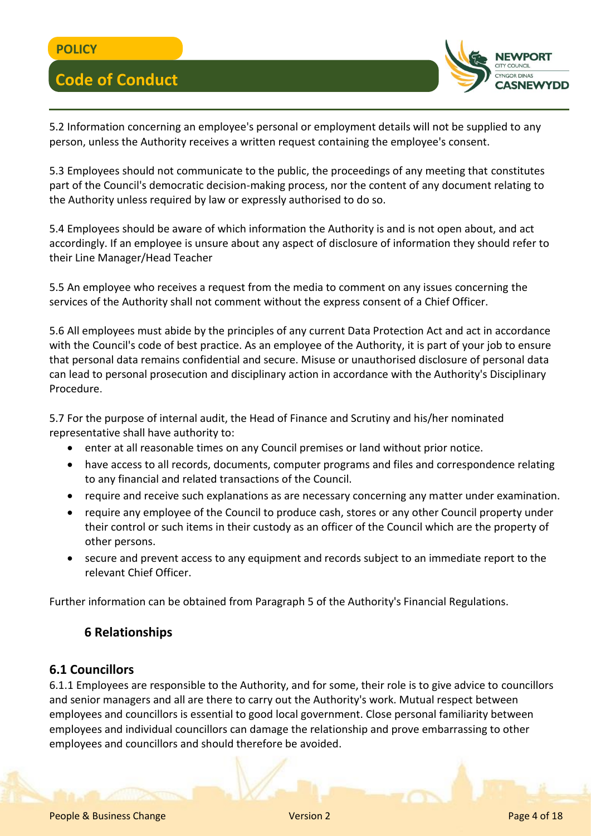

5.2 Information concerning an employee's personal or employment details will not be supplied to any person, unless the Authority receives a written request containing the employee's consent.

5.3 Employees should not communicate to the public, the proceedings of any meeting that constitutes part of the Council's democratic decision-making process, nor the content of any document relating to the Authority unless required by law or expressly authorised to do so.

5.4 Employees should be aware of which information the Authority is and is not open about, and act accordingly. If an employee is unsure about any aspect of disclosure of information they should refer to their Line Manager/Head Teacher

5.5 An employee who receives a request from the media to comment on any issues concerning the services of the Authority shall not comment without the express consent of a Chief Officer.

5.6 All employees must abide by the principles of any current Data Protection Act and act in accordance with the Council's code of best practice. As an employee of the Authority, it is part of your job to ensure that personal data remains confidential and secure. Misuse or unauthorised disclosure of personal data can lead to personal prosecution and disciplinary action in accordance with the Authority's Disciplinary Procedure.

5.7 For the purpose of internal audit, the Head of Finance and Scrutiny and his/her nominated representative shall have authority to:

- enter at all reasonable times on any Council premises or land without prior notice.
- have access to all records, documents, computer programs and files and correspondence relating to any financial and related transactions of the Council.
- require and receive such explanations as are necessary concerning any matter under examination.
- require any employee of the Council to produce cash, stores or any other Council property under their control or such items in their custody as an officer of the Council which are the property of other persons.
- secure and prevent access to any equipment and records subject to an immediate report to the relevant Chief Officer.

Further information can be obtained from Paragraph 5 of the Authority's Financial Regulations.

### **6 Relationships**

#### **6.1 Councillors**

6.1.1 Employees are responsible to the Authority, and for some, their role is to give advice to councillors and senior managers and all are there to carry out the Authority's work. Mutual respect between employees and councillors is essential to good local government. Close personal familiarity between employees and individual councillors can damage the relationship and prove embarrassing to other employees and councillors and should therefore be avoided.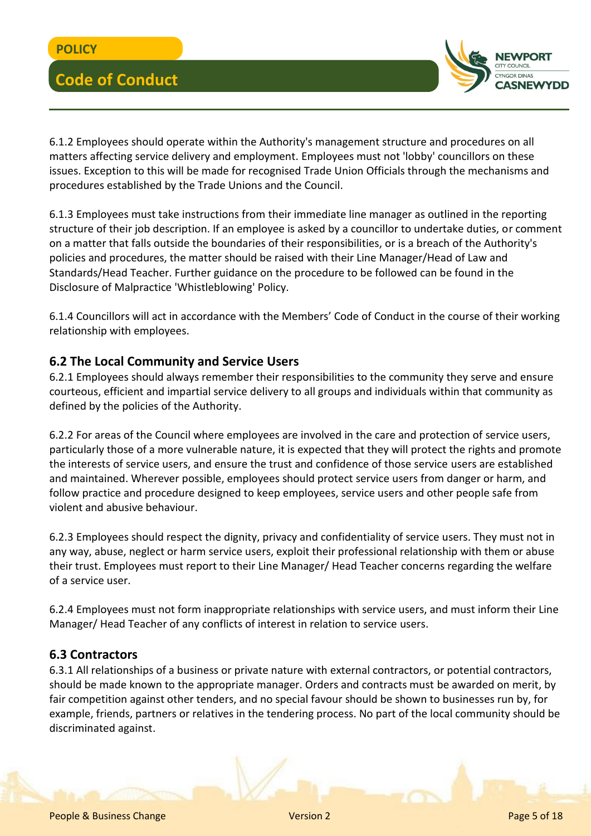

6.1.2 Employees should operate within the Authority's management structure and procedures on all matters affecting service delivery and employment. Employees must not 'lobby' councillors on these issues. Exception to this will be made for recognised Trade Union Officials through the mechanisms and procedures established by the Trade Unions and the Council.

6.1.3 Employees must take instructions from their immediate line manager as outlined in the reporting structure of their job description. If an employee is asked by a councillor to undertake duties, or comment on a matter that falls outside the boundaries of their responsibilities, or is a breach of the Authority's policies and procedures, the matter should be raised with their Line Manager/Head of Law and Standards/Head Teacher. Further guidance on the procedure to be followed can be found in the Disclosure of Malpractice 'Whistleblowing' Policy.

6.1.4 Councillors will act in accordance with the Members' Code of Conduct in the course of their working relationship with employees.

#### **6.2 The Local Community and Service Users**

6.2.1 Employees should always remember their responsibilities to the community they serve and ensure courteous, efficient and impartial service delivery to all groups and individuals within that community as defined by the policies of the Authority.

6.2.2 For areas of the Council where employees are involved in the care and protection of service users, particularly those of a more vulnerable nature, it is expected that they will protect the rights and promote the interests of service users, and ensure the trust and confidence of those service users are established and maintained. Wherever possible, employees should protect service users from danger or harm, and follow practice and procedure designed to keep employees, service users and other people safe from violent and abusive behaviour.

6.2.3 Employees should respect the dignity, privacy and confidentiality of service users. They must not in any way, abuse, neglect or harm service users, exploit their professional relationship with them or abuse their trust. Employees must report to their Line Manager/ Head Teacher concerns regarding the welfare of a service user.

6.2.4 Employees must not form inappropriate relationships with service users, and must inform their Line Manager/ Head Teacher of any conflicts of interest in relation to service users.

#### **6.3 Contractors**

6.3.1 All relationships of a business or private nature with external contractors, or potential contractors, should be made known to the appropriate manager. Orders and contracts must be awarded on merit, by fair competition against other tenders, and no special favour should be shown to businesses run by, for example, friends, partners or relatives in the tendering process. No part of the local community should be discriminated against.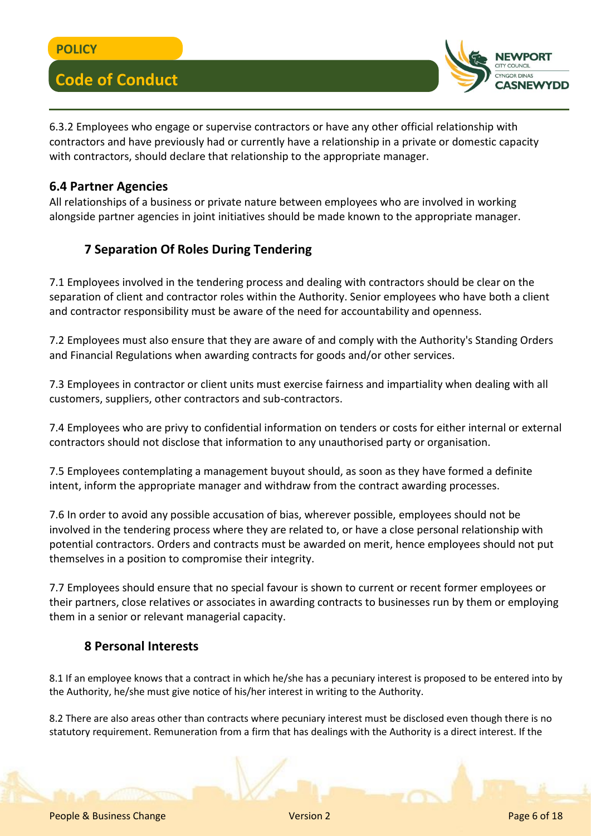

6.3.2 Employees who engage or supervise contractors or have any other official relationship with contractors and have previously had or currently have a relationship in a private or domestic capacity with contractors, should declare that relationship to the appropriate manager.

#### **6.4 Partner Agencies**

All relationships of a business or private nature between employees who are involved in working alongside partner agencies in joint initiatives should be made known to the appropriate manager.

### **7 Separation Of Roles During Tendering**

7.1 Employees involved in the tendering process and dealing with contractors should be clear on the separation of client and contractor roles within the Authority. Senior employees who have both a client and contractor responsibility must be aware of the need for accountability and openness.

7.2 Employees must also ensure that they are aware of and comply with the Authority's Standing Orders and Financial Regulations when awarding contracts for goods and/or other services.

7.3 Employees in contractor or client units must exercise fairness and impartiality when dealing with all customers, suppliers, other contractors and sub-contractors.

7.4 Employees who are privy to confidential information on tenders or costs for either internal or external contractors should not disclose that information to any unauthorised party or organisation.

7.5 Employees contemplating a management buyout should, as soon as they have formed a definite intent, inform the appropriate manager and withdraw from the contract awarding processes.

7.6 In order to avoid any possible accusation of bias, wherever possible, employees should not be involved in the tendering process where they are related to, or have a close personal relationship with potential contractors. Orders and contracts must be awarded on merit, hence employees should not put themselves in a position to compromise their integrity.

7.7 Employees should ensure that no special favour is shown to current or recent former employees or their partners, close relatives or associates in awarding contracts to businesses run by them or employing them in a senior or relevant managerial capacity.

### **8 Personal Interests**

8.1 If an employee knows that a contract in which he/she has a pecuniary interest is proposed to be entered into by the Authority, he/she must give notice of his/her interest in writing to the Authority.

8.2 There are also areas other than contracts where pecuniary interest must be disclosed even though there is no statutory requirement. Remuneration from a firm that has dealings with the Authority is a direct interest. If the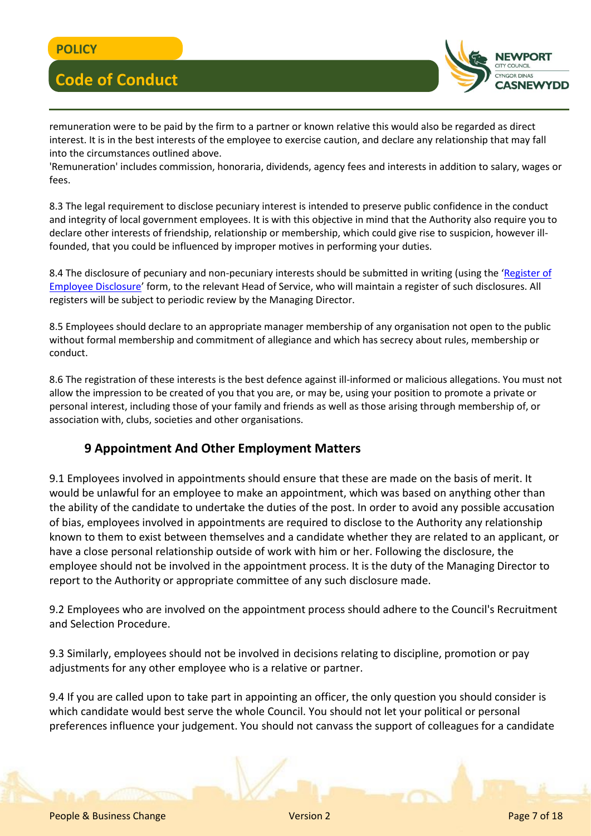

remuneration were to be paid by the firm to a partner or known relative this would also be regarded as direct interest. It is in the best interests of the employee to exercise caution, and declare any relationship that may fall into the circumstances outlined above.

'Remuneration' includes commission, honoraria, dividends, agency fees and interests in addition to salary, wages or fees.

8.3 The legal requirement to disclose pecuniary interest is intended to preserve public confidence in the conduct and integrity of local government employees. It is with this objective in mind that the Authority also require you to declare other interests of friendship, relationship or membership, which could give rise to suspicion, however illfounded, that you could be influenced by improper motives in performing your duties.

8.4 The disclosure of pecuniary and non-pecuniary interests should be submitted in writing (using the '[Register of](file:///C:/Users/cercas/Documents/HR-Register-of-Employee-Disclosures.docx)  [Employee Disclosure](file:///C:/Users/cercas/Documents/HR-Register-of-Employee-Disclosures.docx)' form, to the relevant Head of Service, who will maintain a register of such disclosures. All registers will be subject to periodic review by the Managing Director.

8.5 Employees should declare to an appropriate manager membership of any organisation not open to the public without formal membership and commitment of allegiance and which has secrecy about rules, membership or conduct.

8.6 The registration of these interests is the best defence against ill-informed or malicious allegations. You must not allow the impression to be created of you that you are, or may be, using your position to promote a private or personal interest, including those of your family and friends as well as those arising through membership of, or association with, clubs, societies and other organisations.

### **9 Appointment And Other Employment Matters**

9.1 Employees involved in appointments should ensure that these are made on the basis of merit. It would be unlawful for an employee to make an appointment, which was based on anything other than the ability of the candidate to undertake the duties of the post. In order to avoid any possible accusation of bias, employees involved in appointments are required to disclose to the Authority any relationship known to them to exist between themselves and a candidate whether they are related to an applicant, or have a close personal relationship outside of work with him or her. Following the disclosure, the employee should not be involved in the appointment process. It is the duty of the Managing Director to report to the Authority or appropriate committee of any such disclosure made.

9.2 Employees who are involved on the appointment process should adhere to the Council's Recruitment and Selection Procedure.

9.3 Similarly, employees should not be involved in decisions relating to discipline, promotion or pay adjustments for any other employee who is a relative or partner.

9.4 If you are called upon to take part in appointing an officer, the only question you should consider is which candidate would best serve the whole Council. You should not let your political or personal preferences influence your judgement. You should not canvass the support of colleagues for a candidate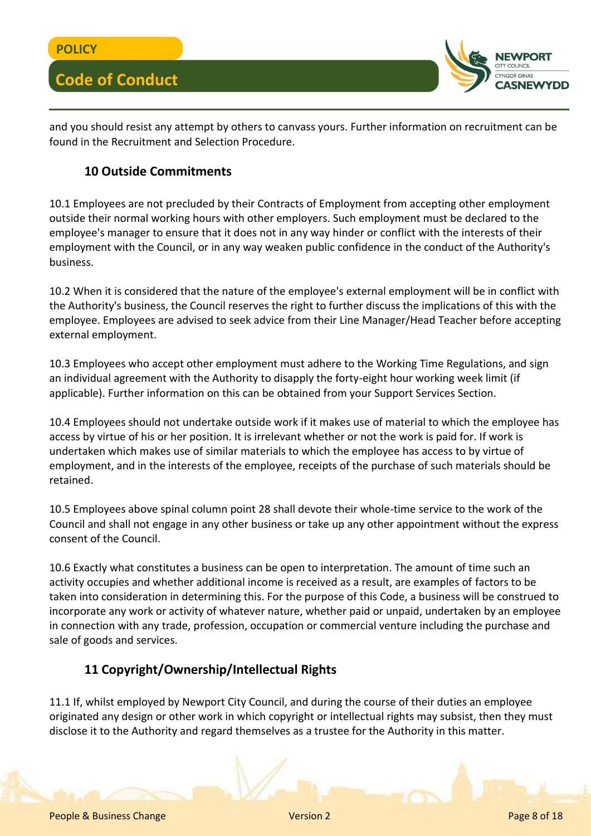

and you should resist any attempt by others to canvass yours. Further information on recruitment can be found in the Recruitment and Selection Procedure.

#### **10 Outside Commitments**

10.1 Employees are not precluded by their Contracts of Employment from accepting other employment outside their normal working hours with other employers. Such employment must be declared to the employee's manager to ensure that it does not in any way hinder or conflict with the interests of their employment with the Council, or in any way weaken public confidence in the conduct of the Authority's business.

10.2 When it is considered that the nature of the employee's external employment will be in conflict with the Authority's business, the Council reserves the right to further discuss the implications of this with the employee. Employees are advised to seek advice from their Line Manager/Head Teacher before accepting external employment.

10.3 Employees who accept other employment must adhere to the Working Time Regulations, and sign an individual agreement with the Authority to disapply the forty-eight hour working week limit (if applicable). Further information on this can be obtained from your Support Services Section.

10.4 Employees should not undertake outside work if it makes use of material to which the employee has access by virtue of his or her position. It is irrelevant whether or not the work is paid for. If work is undertaken which makes use of similar materials to which the employee has access to by virtue of employment, and in the interests of the employee, receipts of the purchase of such materials should be retained.

10.5 Employees above spinal column point 28 shall devote their whole-time service to the work of the Council and shall not engage in any other business or take up any other appointment without the express consent of the Council.

10.6 Exactly what constitutes a business can be open to interpretation. The amount of time such an activity occupies and whether additional income is received as a result, are examples of factors to be taken into consideration in determining this. For the purpose of this Code, a business will be construed to incorporate any work or activity of whatever nature, whether paid or unpaid, undertaken by an employee in connection with any trade, profession, occupation or commercial venture including the purchase and sale of goods and services.

### **11 Copyright/Ownership/Intellectual Rights**

11.1 If, whilst employed by Newport City Council, and during the course of their duties an employee originated any design or other work in which copyright or intellectual rights may subsist, then they must disclose it to the Authority and regard themselves as a trustee for the Authority in this matter.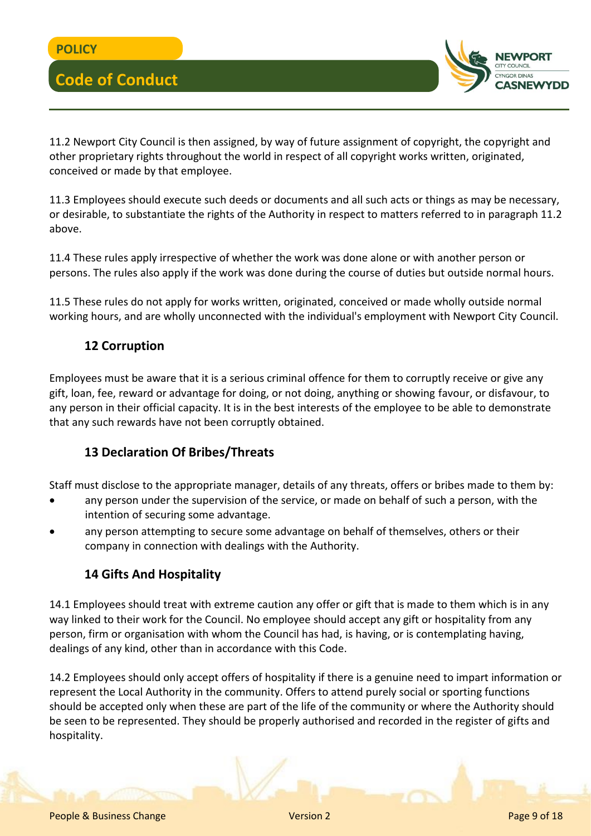

11.2 Newport City Council is then assigned, by way of future assignment of copyright, the copyright and other proprietary rights throughout the world in respect of all copyright works written, originated, conceived or made by that employee.

11.3 Employees should execute such deeds or documents and all such acts or things as may be necessary, or desirable, to substantiate the rights of the Authority in respect to matters referred to in paragraph 11.2 above.

11.4 These rules apply irrespective of whether the work was done alone or with another person or persons. The rules also apply if the work was done during the course of duties but outside normal hours.

11.5 These rules do not apply for works written, originated, conceived or made wholly outside normal working hours, and are wholly unconnected with the individual's employment with Newport City Council.

## **12 Corruption**

Employees must be aware that it is a serious criminal offence for them to corruptly receive or give any gift, loan, fee, reward or advantage for doing, or not doing, anything or showing favour, or disfavour, to any person in their official capacity. It is in the best interests of the employee to be able to demonstrate that any such rewards have not been corruptly obtained.

### **13 Declaration Of Bribes/Threats**

Staff must disclose to the appropriate manager, details of any threats, offers or bribes made to them by:

- any person under the supervision of the service, or made on behalf of such a person, with the intention of securing some advantage.
- any person attempting to secure some advantage on behalf of themselves, others or their company in connection with dealings with the Authority.

### **14 Gifts And Hospitality**

14.1 Employees should treat with extreme caution any offer or gift that is made to them which is in any way linked to their work for the Council. No employee should accept any gift or hospitality from any person, firm or organisation with whom the Council has had, is having, or is contemplating having, dealings of any kind, other than in accordance with this Code.

14.2 Employees should only accept offers of hospitality if there is a genuine need to impart information or represent the Local Authority in the community. Offers to attend purely social or sporting functions should be accepted only when these are part of the life of the community or where the Authority should be seen to be represented. They should be properly authorised and recorded in the register of gifts and hospitality.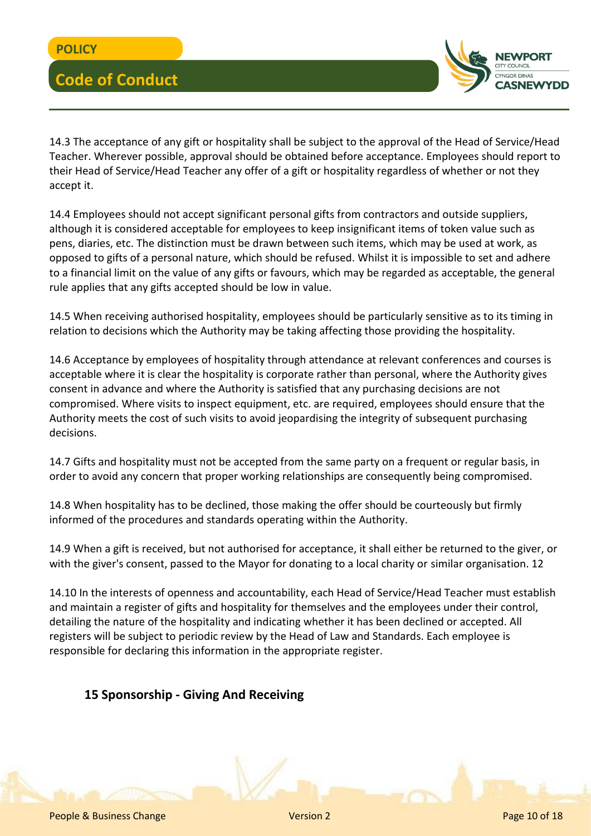

14.3 The acceptance of any gift or hospitality shall be subject to the approval of the Head of Service/Head Teacher. Wherever possible, approval should be obtained before acceptance. Employees should report to their Head of Service/Head Teacher any offer of a gift or hospitality regardless of whether or not they accept it.

14.4 Employees should not accept significant personal gifts from contractors and outside suppliers, although it is considered acceptable for employees to keep insignificant items of token value such as pens, diaries, etc. The distinction must be drawn between such items, which may be used at work, as opposed to gifts of a personal nature, which should be refused. Whilst it is impossible to set and adhere to a financial limit on the value of any gifts or favours, which may be regarded as acceptable, the general rule applies that any gifts accepted should be low in value.

14.5 When receiving authorised hospitality, employees should be particularly sensitive as to its timing in relation to decisions which the Authority may be taking affecting those providing the hospitality.

14.6 Acceptance by employees of hospitality through attendance at relevant conferences and courses is acceptable where it is clear the hospitality is corporate rather than personal, where the Authority gives consent in advance and where the Authority is satisfied that any purchasing decisions are not compromised. Where visits to inspect equipment, etc. are required, employees should ensure that the Authority meets the cost of such visits to avoid jeopardising the integrity of subsequent purchasing decisions.

14.7 Gifts and hospitality must not be accepted from the same party on a frequent or regular basis, in order to avoid any concern that proper working relationships are consequently being compromised.

14.8 When hospitality has to be declined, those making the offer should be courteously but firmly informed of the procedures and standards operating within the Authority.

14.9 When a gift is received, but not authorised for acceptance, it shall either be returned to the giver, or with the giver's consent, passed to the Mayor for donating to a local charity or similar organisation. 12

14.10 In the interests of openness and accountability, each Head of Service/Head Teacher must establish and maintain a register of gifts and hospitality for themselves and the employees under their control, detailing the nature of the hospitality and indicating whether it has been declined or accepted. All registers will be subject to periodic review by the Head of Law and Standards. Each employee is responsible for declaring this information in the appropriate register.

### **15 Sponsorship - Giving And Receiving**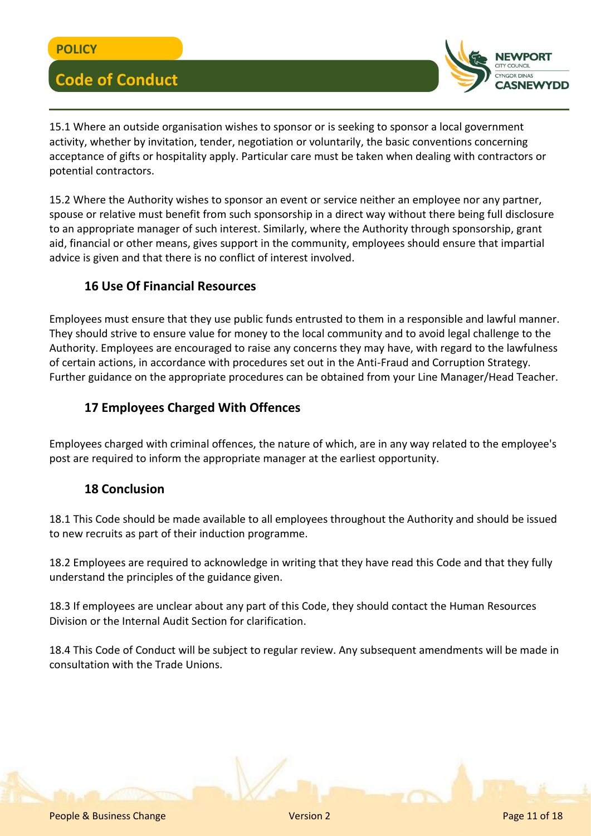

15.1 Where an outside organisation wishes to sponsor or is seeking to sponsor a local government activity, whether by invitation, tender, negotiation or voluntarily, the basic conventions concerning acceptance of gifts or hospitality apply. Particular care must be taken when dealing with contractors or potential contractors.

15.2 Where the Authority wishes to sponsor an event or service neither an employee nor any partner, spouse or relative must benefit from such sponsorship in a direct way without there being full disclosure to an appropriate manager of such interest. Similarly, where the Authority through sponsorship, grant aid, financial or other means, gives support in the community, employees should ensure that impartial advice is given and that there is no conflict of interest involved.

#### **16 Use Of Financial Resources**

Employees must ensure that they use public funds entrusted to them in a responsible and lawful manner. They should strive to ensure value for money to the local community and to avoid legal challenge to the Authority. Employees are encouraged to raise any concerns they may have, with regard to the lawfulness of certain actions, in accordance with procedures set out in the Anti-Fraud and Corruption Strategy. Further guidance on the appropriate procedures can be obtained from your Line Manager/Head Teacher.

#### **17 Employees Charged With Offences**

Employees charged with criminal offences, the nature of which, are in any way related to the employee's post are required to inform the appropriate manager at the earliest opportunity.

#### **18 Conclusion**

18.1 This Code should be made available to all employees throughout the Authority and should be issued to new recruits as part of their induction programme.

18.2 Employees are required to acknowledge in writing that they have read this Code and that they fully understand the principles of the guidance given.

18.3 If employees are unclear about any part of this Code, they should contact the Human Resources Division or the Internal Audit Section for clarification.

18.4 This Code of Conduct will be subject to regular review. Any subsequent amendments will be made in consultation with the Trade Unions.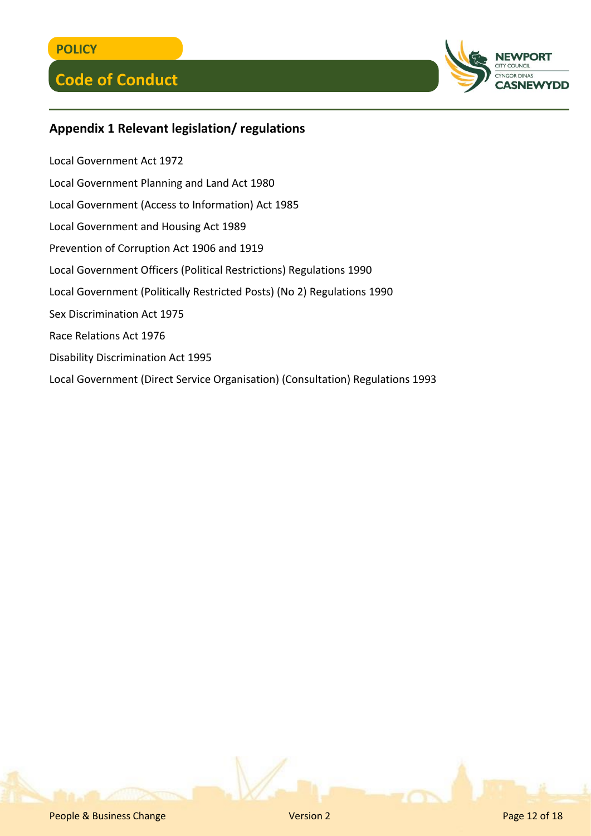

## **Appendix 1 Relevant legislation/ regulations**

Local Government Act 1972 Local Government Planning and Land Act 1980 Local Government (Access to Information) Act 1985 Local Government and Housing Act 1989 Prevention of Corruption Act 1906 and 1919 Local Government Officers (Political Restrictions) Regulations 1990 Local Government (Politically Restricted Posts) (No 2) Regulations 1990 Sex Discrimination Act 1975 Race Relations Act 1976 Disability Discrimination Act 1995 Local Government (Direct Service Organisation) (Consultation) Regulations 1993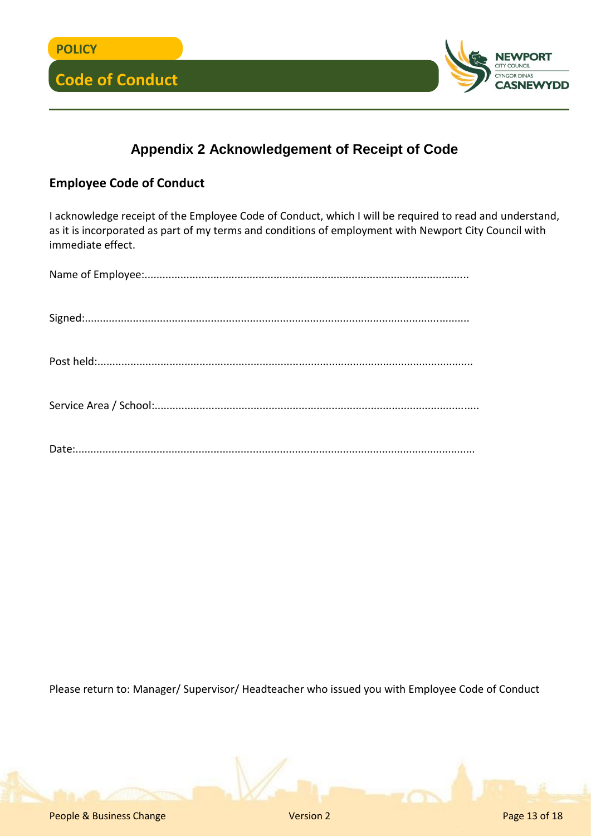

## **Appendix 2 Acknowledgement of Receipt of Code**

## **Employee Code of Conduct**

I acknowledge receipt of the Employee Code of Conduct, which I will be required to read and understand, as it is incorporated as part of my terms and conditions of employment with Newport City Council with immediate effect.

Please return to: Manager/ Supervisor/ Headteacher who issued you with Employee Code of Conduct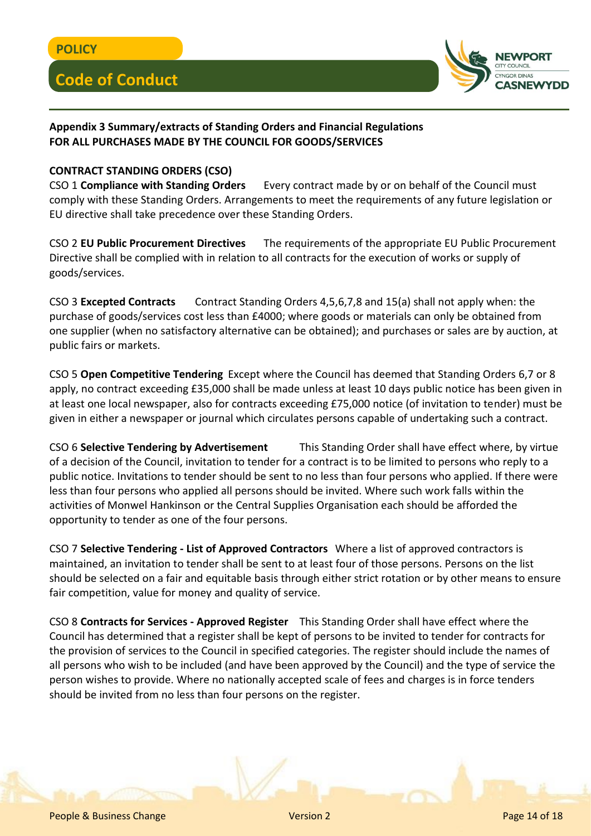

#### **Appendix 3 Summary/extracts of Standing Orders and Financial Regulations FOR ALL PURCHASES MADE BY THE COUNCIL FOR GOODS/SERVICES**

#### **CONTRACT STANDING ORDERS (CSO)**

CSO 1 **Compliance with Standing Orders** Every contract made by or on behalf of the Council must comply with these Standing Orders. Arrangements to meet the requirements of any future legislation or EU directive shall take precedence over these Standing Orders.

CSO 2 **EU Public Procurement Directives** The requirements of the appropriate EU Public Procurement Directive shall be complied with in relation to all contracts for the execution of works or supply of goods/services.

CSO 3 **Excepted Contracts** Contract Standing Orders 4,5,6,7,8 and 15(a) shall not apply when: the purchase of goods/services cost less than £4000; where goods or materials can only be obtained from one supplier (when no satisfactory alternative can be obtained); and purchases or sales are by auction, at public fairs or markets.

CSO 5 **Open Competitive Tendering** Except where the Council has deemed that Standing Orders 6,7 or 8 apply, no contract exceeding £35,000 shall be made unless at least 10 days public notice has been given in at least one local newspaper, also for contracts exceeding £75,000 notice (of invitation to tender) must be given in either a newspaper or journal which circulates persons capable of undertaking such a contract.

CSO 6 **Selective Tendering by Advertisement** This Standing Order shall have effect where, by virtue of a decision of the Council, invitation to tender for a contract is to be limited to persons who reply to a public notice. Invitations to tender should be sent to no less than four persons who applied. If there were less than four persons who applied all persons should be invited. Where such work falls within the activities of Monwel Hankinson or the Central Supplies Organisation each should be afforded the opportunity to tender as one of the four persons.

CSO 7 **Selective Tendering - List of Approved Contractors** Where a list of approved contractors is maintained, an invitation to tender shall be sent to at least four of those persons. Persons on the list should be selected on a fair and equitable basis through either strict rotation or by other means to ensure fair competition, value for money and quality of service.

CSO 8 **Contracts for Services - Approved Register** This Standing Order shall have effect where the Council has determined that a register shall be kept of persons to be invited to tender for contracts for the provision of services to the Council in specified categories. The register should include the names of all persons who wish to be included (and have been approved by the Council) and the type of service the person wishes to provide. Where no nationally accepted scale of fees and charges is in force tenders should be invited from no less than four persons on the register.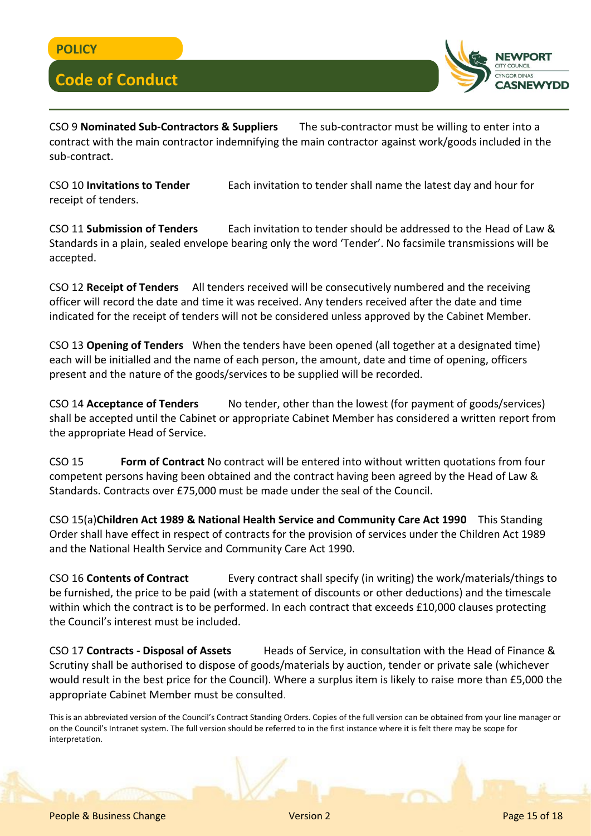

CSO 9 **Nominated Sub-Contractors & Suppliers** The sub-contractor must be willing to enter into a contract with the main contractor indemnifying the main contractor against work/goods included in the sub-contract.

CSO 10 **Invitations to Tender** Each invitation to tender shall name the latest day and hour for receipt of tenders.

CSO 11 **Submission of Tenders** Each invitation to tender should be addressed to the Head of Law & Standards in a plain, sealed envelope bearing only the word 'Tender'. No facsimile transmissions will be accepted.

CSO 12 **Receipt of Tenders** All tenders received will be consecutively numbered and the receiving officer will record the date and time it was received. Any tenders received after the date and time indicated for the receipt of tenders will not be considered unless approved by the Cabinet Member.

CSO 13 **Opening of Tenders** When the tenders have been opened (all together at a designated time) each will be initialled and the name of each person, the amount, date and time of opening, officers present and the nature of the goods/services to be supplied will be recorded.

CSO 14 **Acceptance of Tenders** No tender, other than the lowest (for payment of goods/services) shall be accepted until the Cabinet or appropriate Cabinet Member has considered a written report from the appropriate Head of Service.

CSO 15 **Form of Contract** No contract will be entered into without written quotations from four competent persons having been obtained and the contract having been agreed by the Head of Law & Standards. Contracts over £75,000 must be made under the seal of the Council.

CSO 15(a)**Children Act 1989 & National Health Service and Community Care Act 1990** This Standing Order shall have effect in respect of contracts for the provision of services under the Children Act 1989 and the National Health Service and Community Care Act 1990.

CSO 16 **Contents of Contract** Every contract shall specify (in writing) the work/materials/things to be furnished, the price to be paid (with a statement of discounts or other deductions) and the timescale within which the contract is to be performed. In each contract that exceeds £10,000 clauses protecting the Council's interest must be included.

CSO 17 **Contracts - Disposal of Assets** Heads of Service, in consultation with the Head of Finance & Scrutiny shall be authorised to dispose of goods/materials by auction, tender or private sale (whichever would result in the best price for the Council). Where a surplus item is likely to raise more than £5,000 the appropriate Cabinet Member must be consulted.

This is an abbreviated version of the Council's Contract Standing Orders. Copies of the full version can be obtained from your line manager or on the Council's Intranet system. The full version should be referred to in the first instance where it is felt there may be scope for interpretation.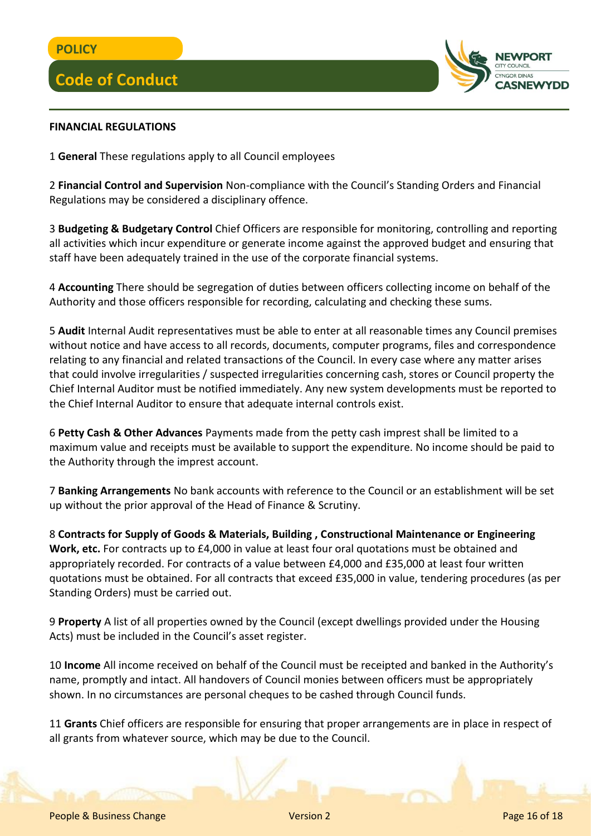

#### **FINANCIAL REGULATIONS**

1 **General** These regulations apply to all Council employees

2 **Financial Control and Supervision** Non-compliance with the Council's Standing Orders and Financial Regulations may be considered a disciplinary offence.

3 **Budgeting & Budgetary Control** Chief Officers are responsible for monitoring, controlling and reporting all activities which incur expenditure or generate income against the approved budget and ensuring that staff have been adequately trained in the use of the corporate financial systems.

4 **Accounting** There should be segregation of duties between officers collecting income on behalf of the Authority and those officers responsible for recording, calculating and checking these sums.

5 **Audit** Internal Audit representatives must be able to enter at all reasonable times any Council premises without notice and have access to all records, documents, computer programs, files and correspondence relating to any financial and related transactions of the Council. In every case where any matter arises that could involve irregularities / suspected irregularities concerning cash, stores or Council property the Chief Internal Auditor must be notified immediately. Any new system developments must be reported to the Chief Internal Auditor to ensure that adequate internal controls exist.

6 **Petty Cash & Other Advances** Payments made from the petty cash imprest shall be limited to a maximum value and receipts must be available to support the expenditure. No income should be paid to the Authority through the imprest account.

7 **Banking Arrangements** No bank accounts with reference to the Council or an establishment will be set up without the prior approval of the Head of Finance & Scrutiny.

8 **Contracts for Supply of Goods & Materials, Building , Constructional Maintenance or Engineering Work, etc.** For contracts up to £4,000 in value at least four oral quotations must be obtained and appropriately recorded. For contracts of a value between £4,000 and £35,000 at least four written quotations must be obtained. For all contracts that exceed £35,000 in value, tendering procedures (as per Standing Orders) must be carried out.

9 **Property** A list of all properties owned by the Council (except dwellings provided under the Housing Acts) must be included in the Council's asset register.

10 **Income** All income received on behalf of the Council must be receipted and banked in the Authority's name, promptly and intact. All handovers of Council monies between officers must be appropriately shown. In no circumstances are personal cheques to be cashed through Council funds.

11 **Grants** Chief officers are responsible for ensuring that proper arrangements are in place in respect of all grants from whatever source, which may be due to the Council.

People & Business Change Version 2 Page 16 of 18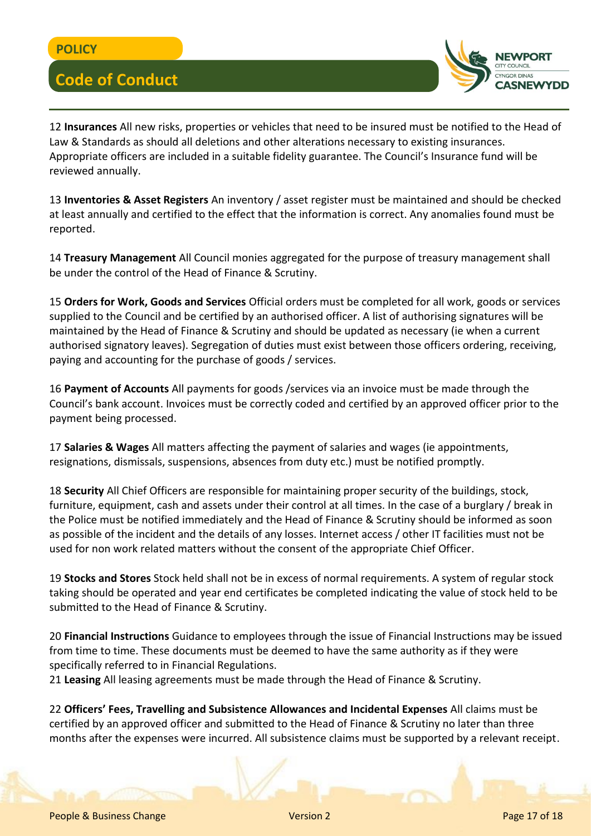

12 **Insurances** All new risks, properties or vehicles that need to be insured must be notified to the Head of Law & Standards as should all deletions and other alterations necessary to existing insurances. Appropriate officers are included in a suitable fidelity guarantee. The Council's Insurance fund will be reviewed annually.

13 **Inventories & Asset Registers** An inventory / asset register must be maintained and should be checked at least annually and certified to the effect that the information is correct. Any anomalies found must be reported.

14 **Treasury Management** All Council monies aggregated for the purpose of treasury management shall be under the control of the Head of Finance & Scrutiny.

15 **Orders for Work, Goods and Services** Official orders must be completed for all work, goods or services supplied to the Council and be certified by an authorised officer. A list of authorising signatures will be maintained by the Head of Finance & Scrutiny and should be updated as necessary (ie when a current authorised signatory leaves). Segregation of duties must exist between those officers ordering, receiving, paying and accounting for the purchase of goods / services.

16 **Payment of Accounts** All payments for goods /services via an invoice must be made through the Council's bank account. Invoices must be correctly coded and certified by an approved officer prior to the payment being processed.

17 **Salaries & Wages** All matters affecting the payment of salaries and wages (ie appointments, resignations, dismissals, suspensions, absences from duty etc.) must be notified promptly.

18 **Security** All Chief Officers are responsible for maintaining proper security of the buildings, stock, furniture, equipment, cash and assets under their control at all times. In the case of a burglary / break in the Police must be notified immediately and the Head of Finance & Scrutiny should be informed as soon as possible of the incident and the details of any losses. Internet access / other IT facilities must not be used for non work related matters without the consent of the appropriate Chief Officer.

19 **Stocks and Stores** Stock held shall not be in excess of normal requirements. A system of regular stock taking should be operated and year end certificates be completed indicating the value of stock held to be submitted to the Head of Finance & Scrutiny.

20 **Financial Instructions** Guidance to employees through the issue of Financial Instructions may be issued from time to time. These documents must be deemed to have the same authority as if they were specifically referred to in Financial Regulations.

21 **Leasing** All leasing agreements must be made through the Head of Finance & Scrutiny.

22 **Officers' Fees, Travelling and Subsistence Allowances and Incidental Expenses** All claims must be certified by an approved officer and submitted to the Head of Finance & Scrutiny no later than three months after the expenses were incurred. All subsistence claims must be supported by a relevant receipt.